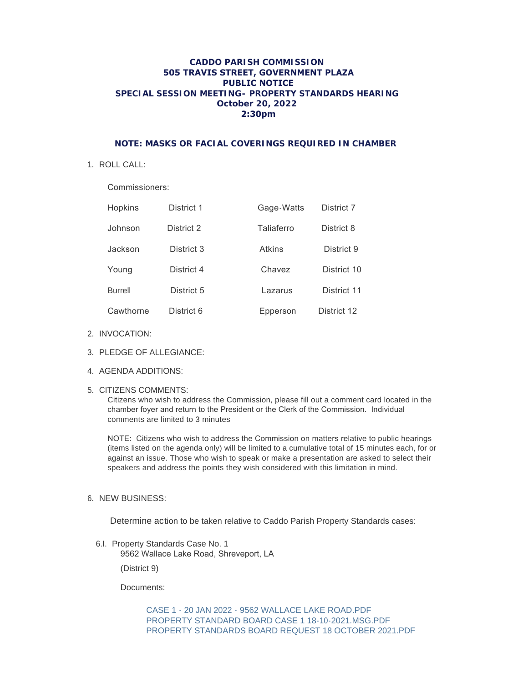## **CADDO PARISH COMMISSION 505 TRAVIS STREET, GOVERNMENT PLAZA PUBLIC NOTICE SPECIAL SESSION MEETING- PROPERTY STANDARDS HEARING October 20, 2022 2:30pm**

## **NOTE: MASKS OR FACIAL COVERINGS REQUIRED IN CHAMBER**

1. ROLL CALL:

Commissioners:

| Hopkins        | District 1 | Gage-Watts    | District 7  |
|----------------|------------|---------------|-------------|
| Johnson        | District 2 | Taliaferro    | District 8  |
| Jackson        | District 3 | <b>Atkins</b> | District 9  |
| Young          | District 4 | Chavez        | District 10 |
| <b>Burrell</b> | District 5 | Lazarus       | District 11 |
| Cawthorne      | District 6 | Epperson      | District 12 |

- 2. INVOCATION:
- PLEDGE OF ALLEGIANCE: 3.
- AGENDA ADDITIONS: 4.
- 5. CITIZENS COMMENTS:

Citizens who wish to address the Commission, please fill out a comment card located in the chamber foyer and return to the President or the Clerk of the Commission. Individual comments are limited to 3 minutes

NOTE: Citizens who wish to address the Commission on matters relative to public hearings (items listed on the agenda only) will be limited to a cumulative total of 15 minutes each, for or against an issue. Those who wish to speak or make a presentation are asked to select their speakers and address the points they wish considered with this limitation in mind.

6. NEW BUSINESS:

Determine action to be taken relative to Caddo Parish Property Standards cases:

6.I. Property Standards Case No. 1 9562 Wallace Lake Road, Shreveport, LA

(District 9)

Documents:

[CASE 1 - 20 JAN 2022 - 9562 WALLACE LAKE ROAD.PDF](http://la-caddoparish.civicplus.com/AgendaCenter/ViewFile/Item/18939?fileID=14484) [PROPERTY STANDARD BOARD CASE 1 18-10-2021.MSG.PDF](http://la-caddoparish.civicplus.com/AgendaCenter/ViewFile/Item/18939?fileID=14478) [PROPERTY STANDARDS BOARD REQUEST 18 OCTOBER 2021.PDF](http://la-caddoparish.civicplus.com/AgendaCenter/ViewFile/Item/18939?fileID=14479)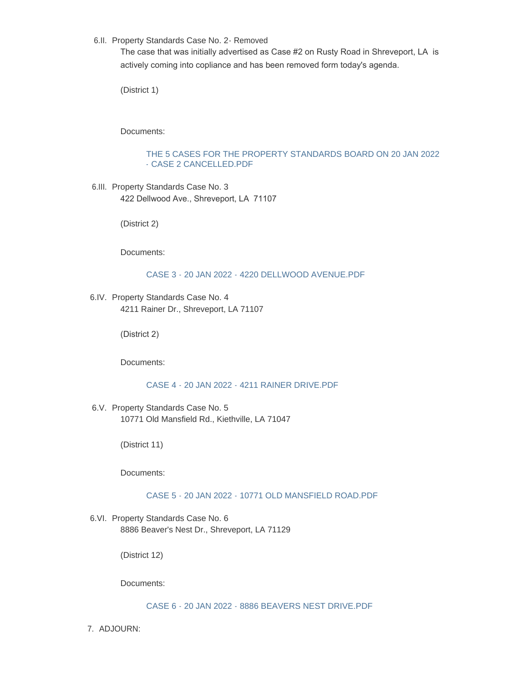6.II. Property Standards Case No. 2- Removed

The case that was initially advertised as Case #2 on Rusty Road in Shreveport, LA is actively coming into copliance and has been removed form today's agenda.

(District 1)

Documents:

## [THE 5 CASES FOR THE PROPERTY STANDARDS BOARD ON 20 JAN 2022](http://la-caddoparish.civicplus.com/AgendaCenter/ViewFile/Item/18940?fileID=14485)  - CASE 2 CANCELLED.PDF

6.III. Property Standards Case No. 3 422 Dellwood Ave., Shreveport, LA 71107

(District 2)

Documents:

[CASE 3 - 20 JAN 2022 - 4220 DELLWOOD AVENUE.PDF](http://la-caddoparish.civicplus.com/AgendaCenter/ViewFile/Item/18941?fileID=14486)

6.IV. Property Standards Case No. 4 4211 Rainer Dr., Shreveport, LA 71107

(District 2)

Documents:

[CASE 4 - 20 JAN 2022 - 4211 RAINER DRIVE.PDF](http://la-caddoparish.civicplus.com/AgendaCenter/ViewFile/Item/18943?fileID=14487)

6.V. Property Standards Case No. 5 10771 Old Mansfield Rd., Kiethville, LA 71047

(District 11)

Documents:

[CASE 5 - 20 JAN 2022 - 10771 OLD MANSFIELD ROAD.PDF](http://la-caddoparish.civicplus.com/AgendaCenter/ViewFile/Item/18944?fileID=14488)

6.VI. Property Standards Case No. 6 8886 Beaver's Nest Dr., Shreveport, LA 71129

(District 12)

Documents:

[CASE 6 - 20 JAN 2022 - 8886 BEAVERS NEST DRIVE.PDF](http://la-caddoparish.civicplus.com/AgendaCenter/ViewFile/Item/18945?fileID=14489)

7. ADJOURN: